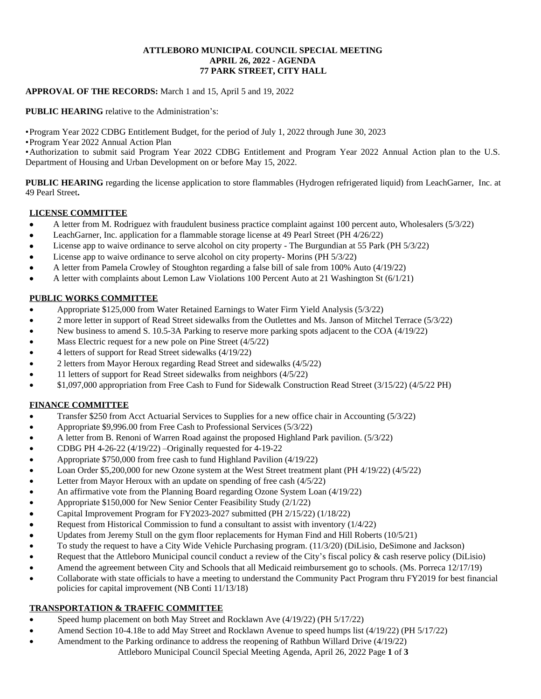#### **ATTLEBORO MUNICIPAL COUNCIL SPECIAL MEETING APRIL 26, 2022 - AGENDA 77 PARK STREET, CITY HALL**

#### **APPROVAL OF THE RECORDS:** March 1 and 15, April 5 and 19, 2022

**PUBLIC HEARING** relative to the Administration's:

•Program Year 2022 CDBG Entitlement Budget, for the period of July 1, 2022 through June 30, 2023

•Program Year 2022 Annual Action Plan

•Authorization to submit said Program Year 2022 CDBG Entitlement and Program Year 2022 Annual Action plan to the U.S. Department of Housing and Urban Development on or before May 15, 2022.

**PUBLIC HEARING** regarding the license application to store flammables (Hydrogen refrigerated liquid) from LeachGarner, Inc. at 49 Pearl Street**.**

# **LICENSE COMMITTEE**

- A letter from M. Rodriguez with fraudulent business practice complaint against 100 percent auto, Wholesalers (5/3/22)
- LeachGarner, Inc. application for a flammable storage license at 49 Pearl Street (PH 4/26/22)
- License app to waive ordinance to serve alcohol on city property The Burgundian at 55 Park (PH 5/3/22)
- License app to waive ordinance to serve alcohol on city property- Morins (PH 5/3/22)
- A letter from Pamela Crowley of Stoughton regarding a false bill of sale from 100% Auto (4/19/22)
- A letter with complaints about Lemon Law Violations 100 Percent Auto at 21 Washington St (6/1/21)

# **PUBLIC WORKS COMMITTEE**

- Appropriate \$125,000 from Water Retained Earnings to Water Firm Yield Analysis (5/3/22)
- 2 more letter in support of Read Street sidewalks from the Outlettes and Ms. Janson of Mitchel Terrace (5/3/22)
- New business to amend S. 10.5-3A Parking to reserve more parking spots adjacent to the COA (4/19/22)
- Mass Electric request for a new pole on Pine Street (4/5/22)
- 4 letters of support for Read Street sidewalks (4/19/22)
- 2 letters from Mayor Heroux regarding Read Street and sidewalks (4/5/22)
- 11 letters of support for Read Street sidewalks from neighbors (4/5/22)
- \$1,097,000 appropriation from Free Cash to Fund for Sidewalk Construction Read Street (3/15/22) (4/5/22 PH)

# **FINANCE COMMITTEE**

- Transfer \$250 from Acct Actuarial Services to Supplies for a new office chair in Accounting (5/3/22)
- Appropriate \$9,996.00 from Free Cash to Professional Services (5/3/22)
- A letter from B. Renoni of Warren Road against the proposed Highland Park pavilion. (5/3/22)
- CDBG PH 4-26-22 (4/19/22) –Originally requested for 4-19-22
- Appropriate \$750,000 from free cash to fund Highland Pavilion (4/19/22)
- Loan Order \$5,200,000 for new Ozone system at the West Street treatment plant (PH 4/19/22) (4/5/22)
- Letter from Mayor Heroux with an update on spending of free cash (4/5/22)
- An affirmative vote from the Planning Board regarding Ozone System Loan (4/19/22)
- Appropriate \$150,000 for New Senior Center Feasibility Study (2/1/22)
- Capital Improvement Program for FY2023-2027 submitted (PH 2/15/22) (1/18/22)
- Request from Historical Commission to fund a consultant to assist with inventory (1/4/22)
- Updates from Jeremy Stull on the gym floor replacements for Hyman Find and Hill Roberts (10/5/21)
- To study the request to have a City Wide Vehicle Purchasing program. (11/3/20) (DiLisio, DeSimone and Jackson)
- Request that the Attleboro Municipal council conduct a review of the City's fiscal policy & cash reserve policy (DiLisio)
- Amend the agreement between City and Schools that all Medicaid reimbursement go to schools. (Ms. Porreca 12/17/19)
- Collaborate with state officials to have a meeting to understand the Community Pact Program thru FY2019 for best financial policies for capital improvement (NB Conti 11/13/18)

# **TRANSPORTATION & TRAFFIC COMMITTEE**

- Speed hump placement on both May Street and Rocklawn Ave (4/19/22) (PH 5/17/22)
- Amend Section 10-4.18e to add May Street and Rocklawn Avenue to speed humps list (4/19/22) (PH 5/17/22)
- Attleboro Municipal Council Special Meeting Agenda, April 26, 2022 Page **1** of **3** Amendment to the Parking ordinance to address the reopening of Rathbun Willard Drive (4/19/22)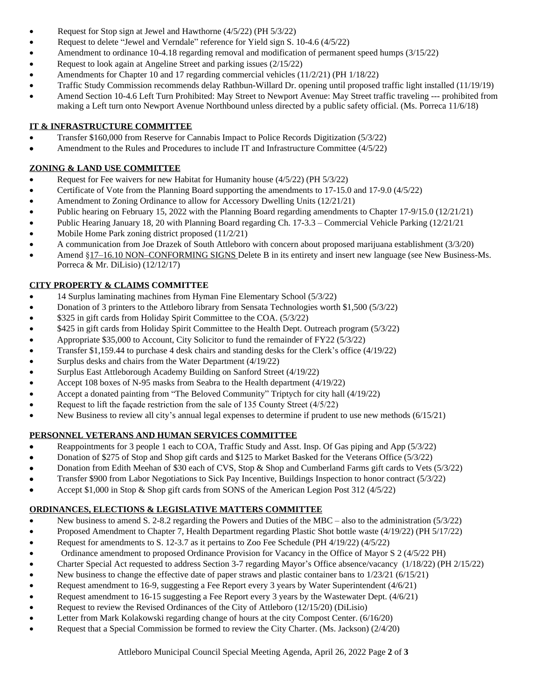- Request for Stop sign at Jewel and Hawthorne (4/5/22) (PH 5/3/22)
- Request to delete "Jewel and Verndale" reference for Yield sign S. 10-4.6 (4/5/22)
- Amendment to ordinance 10-4.18 regarding removal and modification of permanent speed humps (3/15/22)
- Request to look again at Angeline Street and parking issues (2/15/22)
- Amendments for Chapter 10 and 17 regarding commercial vehicles (11/2/21) (PH 1/18/22)
- Traffic Study Commission recommends delay Rathbun-Willard Dr. opening until proposed traffic light installed (11/19/19)
- Amend Section 10-4.6 Left Turn Prohibited: May Street to Newport Avenue: May Street traffic traveling --- prohibited from making a Left turn onto Newport Avenue Northbound unless directed by a public safety official. (Ms. Porreca 11/6/18)

### **IT & INFRASTRUCTURE COMMITTEE**

- Transfer \$160,000 from Reserve for Cannabis Impact to Police Records Digitization (5/3/22)
- Amendment to the Rules and Procedures to include IT and Infrastructure Committee (4/5/22)

### **ZONING & LAND USE COMMITTEE**

- Request for Fee waivers for new Habitat for Humanity house (4/5/22) (PH 5/3/22)
- Certificate of Vote from the Planning Board supporting the amendments to 17-15.0 and 17-9.0 (4/5/22)
- Amendment to Zoning Ordinance to allow for Accessory Dwelling Units (12/21/21)
- Public hearing on February 15, 2022 with the Planning Board regarding amendments to Chapter 17-9/15.0 (12/21/21)
- Public Hearing January 18, 20 with Planning Board regarding Ch. 17-3.3 Commercial Vehicle Parking (12/21/21
- Mobile Home Park zoning district proposed (11/2/21)
- A communication from Joe Drazek of South Attleboro with concern about proposed marijuana establishment (3/3/20)
- Amend §17–16.10 NON–CONFORMING SIGNS Delete B in its entirety and insert new language (see New Business-Ms. Porreca & Mr. DiLisio) (12/12/17)

# **CITY PROPERTY & CLAIMS COMMITTEE**

- 14 Surplus laminating machines from Hyman Fine Elementary School (5/3/22)
- Donation of 3 printers to the Attleboro library from Sensata Technologies worth \$1,500 (5/3/22)
- \$325 in gift cards from Holiday Spirit Committee to the COA. (5/3/22)
- \$425 in gift cards from Holiday Spirit Committee to the Health Dept. Outreach program (5/3/22)
- Appropriate \$35,000 to Account, City Solicitor to fund the remainder of FY22 (5/3/22)
- Transfer \$1,159.44 to purchase 4 desk chairs and standing desks for the Clerk's office (4/19/22)
- Surplus desks and chairs from the Water Department (4/19/22)
- Surplus East Attleborough Academy Building on Sanford Street (4/19/22)
- Accept 108 boxes of N-95 masks from Seabra to the Health department (4/19/22)
- Accept a donated painting from "The Beloved Community" Triptych for city hall (4/19/22)
- Request to lift the façade restriction from the sale of 135 County Street (4/5/22)
- New Business to review all city's annual legal expenses to determine if prudent to use new methods (6/15/21)

# **PERSONNEL VETERANS AND HUMAN SERVICES COMMITTEE**

- Reappointments for 3 people 1 each to COA, Traffic Study and Asst. Insp. Of Gas piping and App (5/3/22)
- Donation of \$275 of Stop and Shop gift cards and \$125 to Market Basked for the Veterans Office (5/3/22)
- Donation from Edith Meehan of \$30 each of CVS, Stop & Shop and Cumberland Farms gift cards to Vets (5/3/22)
- Transfer \$900 from Labor Negotiations to Sick Pay Incentive, Buildings Inspection to honor contract (5/3/22)
- Accept \$1,000 in Stop & Shop gift cards from SONS of the American Legion Post 312 (4/5/22)

# **ORDINANCES, ELECTIONS & LEGISLATIVE MATTERS COMMITTEE**

- New business to amend S. 2-8.2 regarding the Powers and Duties of the MBC also to the administration (5/3/22)
- Proposed Amendment to Chapter 7, Health Department regarding Plastic Shot bottle waste (4/19/22) (PH 5/17/22)
- Request for amendments to S. 12-3.7 as it pertains to Zoo Fee Schedule (PH 4/19/22) (4/5/22)
- Ordinance amendment to proposed Ordinance Provision for Vacancy in the Office of Mayor S 2 (4/5/22 PH)
- Charter Special Act requested to address Section 3-7 regarding Mayor's Office absence/vacancy (1/18/22) (PH 2/15/22)
- New business to change the effective date of paper straws and plastic container bans to 1/23/21 (6/15/21)
- Request amendment to 16-9, suggesting a Fee Report every 3 years by Water Superintendent (4/6/21)
- Request amendment to 16-15 suggesting a Fee Report every 3 years by the Wastewater Dept. (4/6/21)
- Request to review the Revised Ordinances of the City of Attleboro (12/15/20) (DiLisio)
- Letter from Mark Kolakowski regarding change of hours at the city Compost Center. (6/16/20)
- Request that a Special Commission be formed to review the City Charter. (Ms. Jackson) (2/4/20)